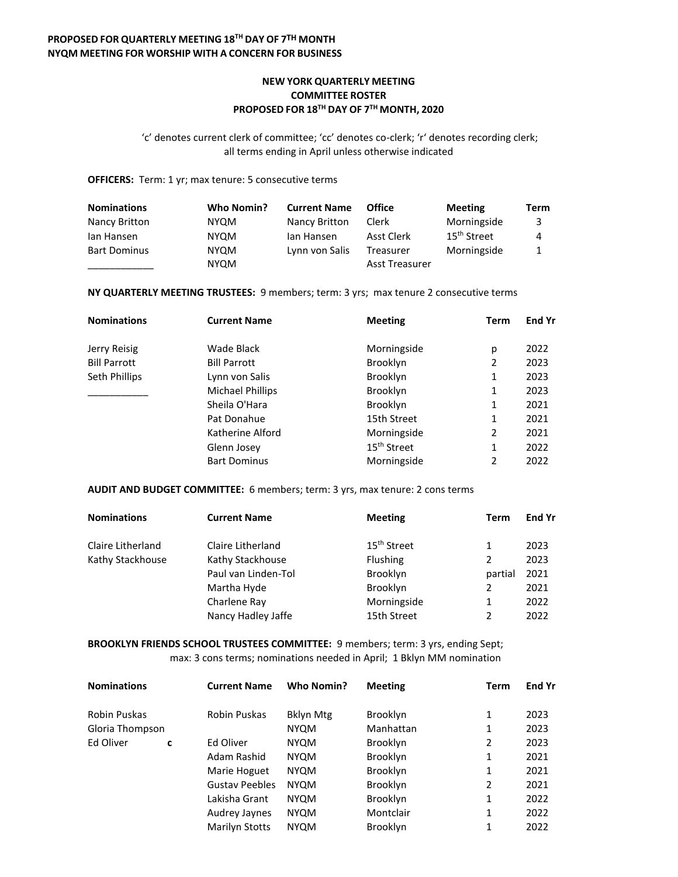# **NEW YORK QUARTERLY MEETING COMMITTEE ROSTER PROPOSED FOR 18TH DAY OF 7 TH MONTH, 2020**

'c' denotes current clerk of committee; 'cc' denotes co-clerk; 'r' denotes recording clerk; all terms ending in April unless otherwise indicated

#### **OFFICERS:** Term: 1 yr; max tenure: 5 consecutive terms

| <b>Nominations</b>  | Who Nomin?  | <b>Current Name</b> | <b>Office</b>         | <b>Meeting</b>          | Term |
|---------------------|-------------|---------------------|-----------------------|-------------------------|------|
| Nancy Britton       | <b>NYQM</b> | Nancy Britton       | Clerk                 | Morningside             | 3    |
| lan Hansen          | <b>NYQM</b> | lan Hansen          | Asst Clerk            | 15 <sup>th</sup> Street | 4    |
| <b>Bart Dominus</b> | <b>NYQM</b> | Lynn von Salis      | Treasurer             | Morningside             |      |
|                     | <b>NYQM</b> |                     | <b>Asst Treasurer</b> |                         |      |

## **NY QUARTERLY MEETING TRUSTEES:** 9 members; term: 3 yrs; max tenure 2 consecutive terms

| <b>Nominations</b>  | <b>Current Name</b> | <b>Meeting</b>          | Term | <b>End Yr</b> |
|---------------------|---------------------|-------------------------|------|---------------|
| Jerry Reisig        | Wade Black          | Morningside             | р    | 2022          |
| <b>Bill Parrott</b> | <b>Bill Parrott</b> | <b>Brooklyn</b>         | 2    | 2023          |
| Seth Phillips       | Lynn von Salis      | <b>Brooklyn</b>         | 1    | 2023          |
|                     | Michael Phillips    | <b>Brooklyn</b>         | 1    | 2023          |
|                     | Sheila O'Hara       | <b>Brooklyn</b>         | 1    | 2021          |
|                     | Pat Donahue         | 15th Street             | 1    | 2021          |
|                     | Katherine Alford    | Morningside             | 2    | 2021          |
|                     | Glenn Josey         | 15 <sup>th</sup> Street | 1    | 2022          |
|                     | <b>Bart Dominus</b> | Morningside             | 2    | 2022          |

#### **AUDIT AND BUDGET COMMITTEE:** 6 members; term: 3 yrs, max tenure: 2 cons terms

| <b>Nominations</b> | <b>Current Name</b> | <b>Meeting</b>          | Term          | <b>End Yr</b> |
|--------------------|---------------------|-------------------------|---------------|---------------|
| Claire Litherland  | Claire Litherland   | 15 <sup>th</sup> Street |               | 2023          |
| Kathy Stackhouse   | Kathy Stackhouse    | <b>Flushing</b>         |               | 2023          |
|                    | Paul van Linden-Tol | Brooklyn                | partial       | 2021          |
|                    | Martha Hyde         | <b>Brooklyn</b>         |               | 2021          |
|                    | Charlene Ray        | Morningside             |               | 2022          |
|                    | Nancy Hadley Jaffe  | 15th Street             | $\mathfrak z$ | 2022          |

**BROOKLYN FRIENDS SCHOOL TRUSTEES COMMITTEE:** 9 members; term: 3 yrs, ending Sept; max: 3 cons terms; nominations needed in April; 1 Bklyn MM nomination

| <b>Nominations</b> |   | <b>Current Name</b>   | <b>Who Nomin?</b> | <b>Meeting</b>  | <b>Term</b> | End Yr |
|--------------------|---|-----------------------|-------------------|-----------------|-------------|--------|
| Robin Puskas       |   | Robin Puskas          | <b>Bklyn Mtg</b>  | <b>Brooklyn</b> | 1           | 2023   |
| Gloria Thompson    |   |                       | <b>NYQM</b>       | Manhattan       | 1           | 2023   |
| Ed Oliver          | C | Ed Oliver             | <b>NYQM</b>       | Brooklyn        | 2           | 2023   |
|                    |   | Adam Rashid           | <b>NYQM</b>       | <b>Brooklyn</b> | 1           | 2021   |
|                    |   | Marie Hoguet          | <b>NYQM</b>       | Brooklyn        | 1           | 2021   |
|                    |   | <b>Gustav Peebles</b> | <b>NYQM</b>       | <b>Brooklyn</b> | 2           | 2021   |
|                    |   | Lakisha Grant         | <b>NYQM</b>       | Brooklyn        | 1           | 2022   |
|                    |   | Audrey Jaynes         | <b>NYQM</b>       | Montclair       | 1           | 2022   |
|                    |   | Marilyn Stotts        | <b>NYQM</b>       | Brooklyn        | 1           | 2022   |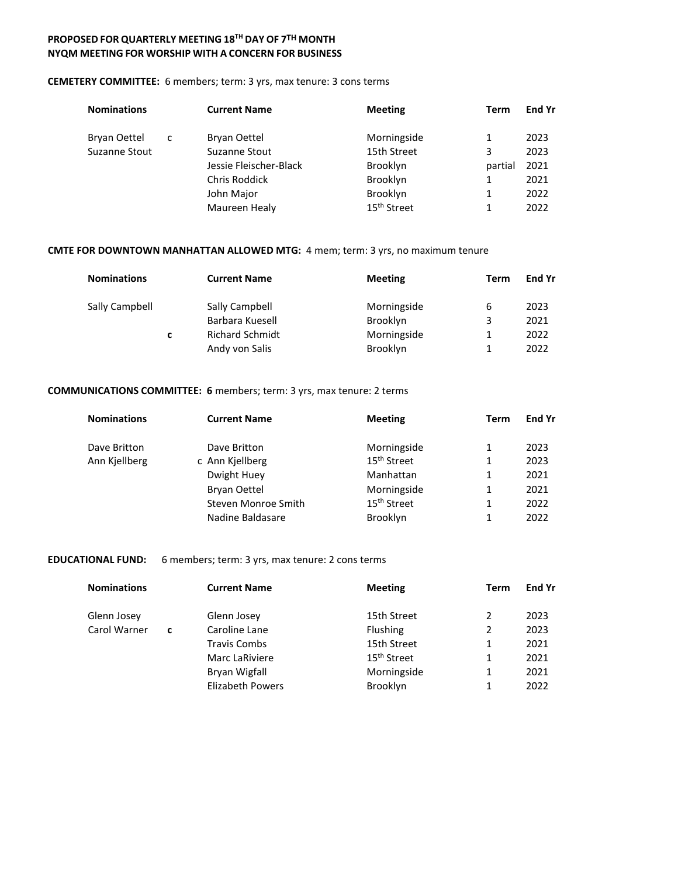## **CEMETERY COMMITTEE:** 6 members; term: 3 yrs, max tenure: 3 cons terms

| <b>Nominations</b>  |   | <b>Current Name</b>    | <b>Meeting</b>          | Term    | <b>End Yr</b> |
|---------------------|---|------------------------|-------------------------|---------|---------------|
| <b>Bryan Oettel</b> | c | <b>Bryan Oettel</b>    | Morningside             |         | 2023          |
| Suzanne Stout       |   | Suzanne Stout          | 15th Street             | 3       | 2023          |
|                     |   | Jessie Fleischer-Black | <b>Brooklyn</b>         | partial | 2021          |
|                     |   | <b>Chris Roddick</b>   | <b>Brooklyn</b>         |         | 2021          |
|                     |   | John Major             | Brooklyn                |         | 2022          |
|                     |   | Maureen Healy          | 15 <sup>th</sup> Street |         | 2022          |

## **CMTE FOR DOWNTOWN MANHATTAN ALLOWED MTG:** 4 mem; term: 3 yrs, no maximum tenure

| <b>Nominations</b> |   | <b>Current Name</b>    | <b>Meeting</b> | Term | End Yr |
|--------------------|---|------------------------|----------------|------|--------|
| Sally Campbell     |   | Sally Campbell         | Morningside    | 6    | 2023   |
|                    |   | Barbara Kuesell        | Brooklyn       | 3    | 2021   |
|                    | c | <b>Richard Schmidt</b> | Morningside    | 1    | 2022   |
|                    |   | Andy von Salis         | Brooklyn       | 1.   | 2022   |

## **COMMUNICATIONS COMMITTEE: 6** members; term: 3 yrs, max tenure: 2 terms

| <b>Nominations</b> | <b>Current Name</b> | <b>Meeting</b>          | Term | <b>End Yr</b> |
|--------------------|---------------------|-------------------------|------|---------------|
| Dave Britton       | Dave Britton        | Morningside             | 1    | 2023          |
| Ann Kjellberg      | c Ann Kjellberg     | 15 <sup>th</sup> Street | 1    | 2023          |
|                    | Dwight Huey         | Manhattan               | 1    | 2021          |
|                    | <b>Bryan Oettel</b> | Morningside             | 1    | 2021          |
|                    | Steven Monroe Smith | 15 <sup>th</sup> Street | 1    | 2022          |
|                    | Nadine Baldasare    | <b>Brooklyn</b>         | 1    | 2022          |

## **EDUCATIONAL FUND:** 6 members; term: 3 yrs, max tenure: 2 cons terms

| <b>Nominations</b> |   | <b>Current Name</b>     | <b>Meeting</b>          | Term | <b>End Yr</b> |
|--------------------|---|-------------------------|-------------------------|------|---------------|
| Glenn Josey        |   | Glenn Josey             | 15th Street             |      | 2023          |
| Carol Warner       | C | Caroline Lane           | <b>Flushing</b>         | 2    | 2023          |
|                    |   | <b>Travis Combs</b>     | 15th Street             |      | 2021          |
|                    |   | Marc LaRiviere          | 15 <sup>th</sup> Street | 1    | 2021          |
|                    |   | Bryan Wigfall           | Morningside             |      | 2021          |
|                    |   | <b>Elizabeth Powers</b> | Brooklyn                |      | 2022          |
|                    |   |                         |                         |      |               |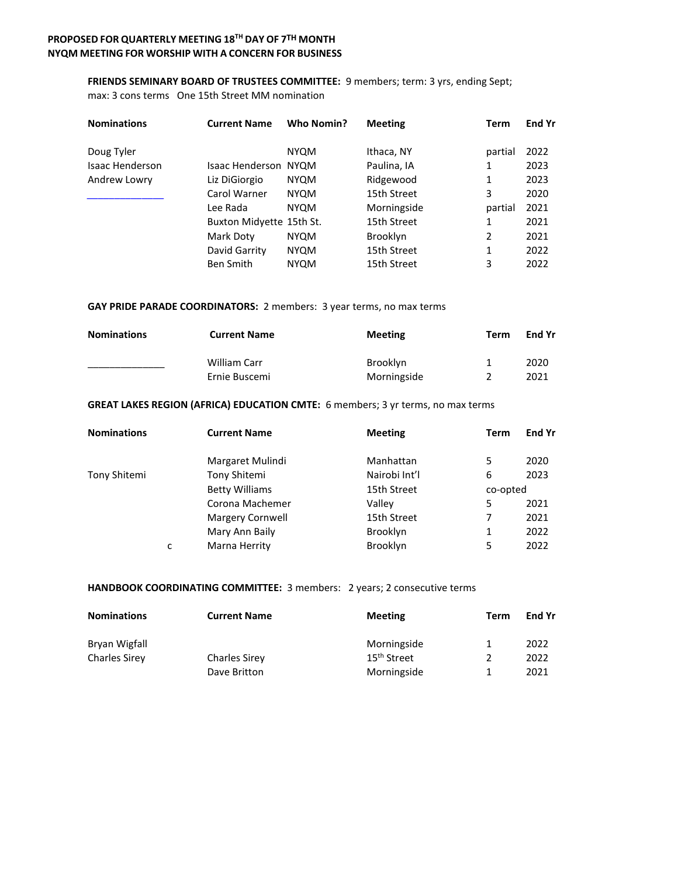## **FRIENDS SEMINARY BOARD OF TRUSTEES COMMITTEE:** 9 members; term: 3 yrs, ending Sept;

max: 3 cons terms One 15th Street MM nomination

| <b>Nominations</b>     | <b>Current Name</b>         | Who Nomin?  | <b>Meeting</b>  | Term           | End Yr |
|------------------------|-----------------------------|-------------|-----------------|----------------|--------|
| Doug Tyler             |                             | <b>NYQM</b> | Ithaca, NY      | partial        | 2022   |
| <b>Isaac Henderson</b> | <b>Isaac Henderson NYQM</b> |             | Paulina, IA     | 1              | 2023   |
| Andrew Lowry           | Liz DiGiorgio               | <b>NYQM</b> | Ridgewood       | 1              | 2023   |
|                        | Carol Warner                | <b>NYQM</b> | 15th Street     | 3              | 2020   |
|                        | Lee Rada                    | <b>NYQM</b> | Morningside     | partial        | 2021   |
|                        | Buxton Midyette 15th St.    |             | 15th Street     | 1              | 2021   |
|                        | Mark Doty                   | <b>NYQM</b> | <b>Brooklyn</b> | $\overline{2}$ | 2021   |
|                        | David Garrity               | <b>NYQM</b> | 15th Street     | 1              | 2022   |
|                        | <b>Ben Smith</b>            | <b>NYQM</b> | 15th Street     | 3              | 2022   |

## **GAY PRIDE PARADE COORDINATORS:** 2 members: 3 year terms, no max terms

| <b>Nominations</b> | <b>Current Name</b> | <b>Meeting</b>  | Term | End Yr |
|--------------------|---------------------|-----------------|------|--------|
|                    | William Carr        | <b>Brooklyn</b> |      | 2020   |
|                    | Ernie Buscemi       | Morningside     |      | 2021   |

## **GREAT LAKES REGION (AFRICA) EDUCATION CMTE:** 6 members; 3 yr terms, no max terms

| <b>Nominations</b> |   | <b>Current Name</b>   | <b>Meeting</b>  | <b>Term</b> | <b>End Yr</b> |
|--------------------|---|-----------------------|-----------------|-------------|---------------|
|                    |   | Margaret Mulindi      | Manhattan       | 5           | 2020          |
| Tony Shitemi       |   | Tony Shitemi          | Nairobi Int'l   | 6           | 2023          |
|                    |   | <b>Betty Williams</b> | 15th Street     | co-opted    |               |
|                    |   | Corona Machemer       | Valley          | 5           | 2021          |
|                    |   | Margery Cornwell      | 15th Street     | 7           | 2021          |
|                    |   | Mary Ann Baily        | <b>Brooklyn</b> | 1           | 2022          |
|                    | C | Marna Herrity         | <b>Brooklyn</b> | 5           | 2022          |

## **HANDBOOK COORDINATING COMMITTEE:** 3 members: 2 years; 2 consecutive terms

| <b>Nominations</b>   | <b>Current Name</b>  | <b>Meeting</b>          | Term          | <b>End Yr</b> |
|----------------------|----------------------|-------------------------|---------------|---------------|
| Bryan Wigfall        |                      | Morningside             | 1             | 2022          |
| <b>Charles Sirey</b> | <b>Charles Sirey</b> | 15 <sup>th</sup> Street | $\mathcal{P}$ | 2022          |
|                      | Dave Britton         | Morningside             |               | 2021          |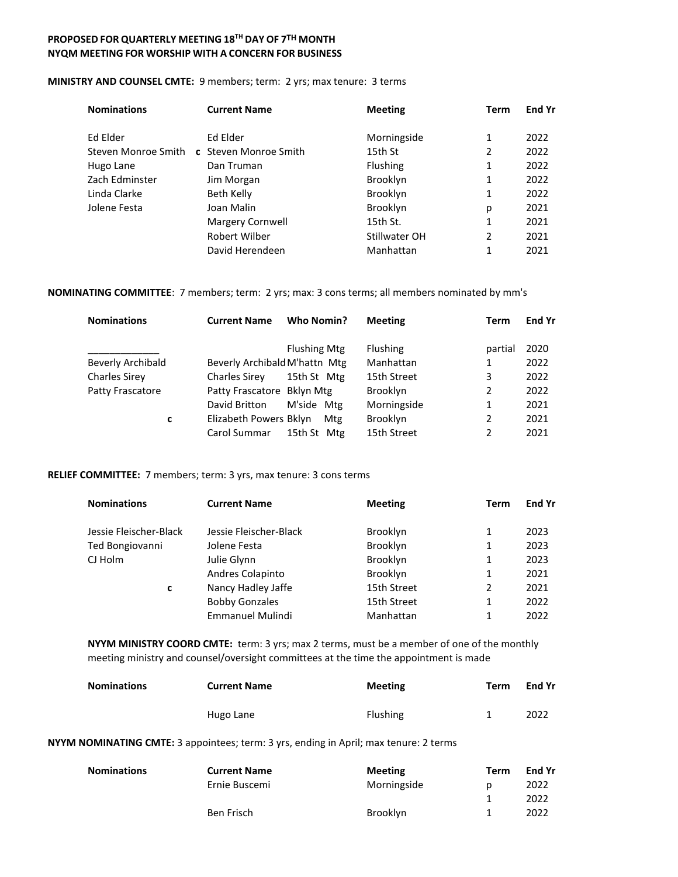#### **MINISTRY AND COUNSEL CMTE:** 9 members; term: 2 yrs; max tenure: 3 terms

| <b>Nominations</b>  | <b>Current Name</b>   | <b>Meeting</b>  | Term | <b>End Yr</b> |
|---------------------|-----------------------|-----------------|------|---------------|
| Ed Elder            | Ed Elder              | Morningside     | 1    | 2022          |
| Steven Monroe Smith | c Steven Monroe Smith | 15th St         | 2    | 2022          |
| Hugo Lane           | Dan Truman            | Flushing        | 1    | 2022          |
| Zach Edminster      | Jim Morgan            | <b>Brooklyn</b> | 1    | 2022          |
| Linda Clarke        | Beth Kelly            | <b>Brooklyn</b> | 1    | 2022          |
| Jolene Festa        | Joan Malin            | <b>Brooklyn</b> | р    | 2021          |
|                     | Margery Cornwell      | 15th St.        | 1    | 2021          |
|                     | Robert Wilber         | Stillwater OH   | 2    | 2021          |
|                     | David Herendeen       | Manhattan       | 1    | 2021          |

**NOMINATING COMMITTEE**: 7 members; term: 2 yrs; max: 3 cons terms; all members nominated by mm's

| <b>Nominations</b>   | <b>Current Name</b>           | Who Nomin?          | <b>Meeting</b>  | Term          | <b>End Yr</b> |
|----------------------|-------------------------------|---------------------|-----------------|---------------|---------------|
|                      |                               | <b>Flushing Mtg</b> | Flushing        | partial       | 2020          |
| Beverly Archibald    | Beverly Archibald M'hattn Mtg |                     | Manhattan       | 1             | 2022          |
| <b>Charles Sirey</b> | <b>Charles Sirey</b>          | 15th St Mtg         | 15th Street     | 3             | 2022          |
| Patty Frascatore     | Patty Frascatore Bklyn Mtg    |                     | <b>Brooklyn</b> | 2             | 2022          |
|                      | David Britton                 | M'side Mtg          | Morningside     | $\mathbf{1}$  | 2021          |
| c                    | Elizabeth Powers Bklyn        | Mtg                 | <b>Brooklyn</b> | 2             | 2021          |
|                      | Carol Summar                  | 15th St Mtg         | 15th Street     | $\mathcal{P}$ | 2021          |
|                      |                               |                     |                 |               |               |

#### **RELIEF COMMITTEE:** 7 members; term: 3 yrs, max tenure: 3 cons terms

| <b>Nominations</b>     | <b>Current Name</b>     | <b>Meeting</b>  | Term | End Yr |
|------------------------|-------------------------|-----------------|------|--------|
| Jessie Fleischer-Black | Jessie Fleischer-Black  | Brooklyn        |      | 2023   |
| Ted Bongiovanni        | Jolene Festa            | Brooklyn        |      | 2023   |
| CJ Holm                | Julie Glynn             | <b>Brooklyn</b> | 1    | 2023   |
|                        | Andres Colapinto        | <b>Brooklyn</b> |      | 2021   |
| c                      | Nancy Hadley Jaffe      | 15th Street     | 2    | 2021   |
|                        | <b>Bobby Gonzales</b>   | 15th Street     |      | 2022   |
|                        | <b>Emmanuel Mulindi</b> | Manhattan       | 1    | 2022   |

**NYYM MINISTRY COORD CMTE:** term: 3 yrs; max 2 terms, must be a member of one of the monthly meeting ministry and counsel/oversight committees at the time the appointment is made

| <b>Nominations</b> | <b>Current Name</b> | <b>Meeting</b>  | Term | End Yr |
|--------------------|---------------------|-----------------|------|--------|
|                    | Hugo Lane           | <b>Flushing</b> |      | 2022   |

**NYYM NOMINATING CMTE:** 3 appointees; term: 3 yrs, ending in April; max tenure: 2 terms

| <b>Nominations</b> | <b>Current Name</b> | <b>Meeting</b> | Term | End Yr |
|--------------------|---------------------|----------------|------|--------|
|                    | Ernie Buscemi       | Morningside    | p    | 2022   |
|                    |                     |                |      | 2022   |
|                    | Ben Frisch          | Brooklyn       |      | 2022   |